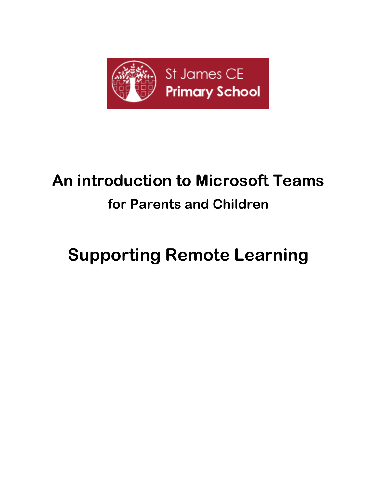

# **An introduction to Microsoft Teams for Parents and Children**

# **Supporting Remote Learning**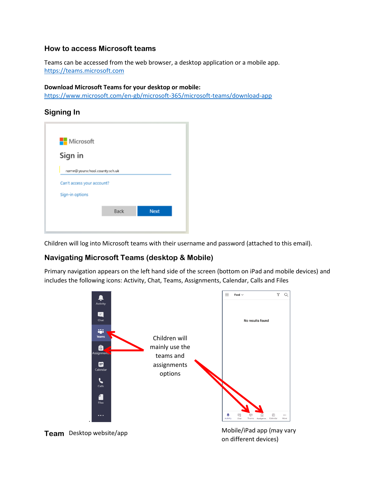#### **How to access Microsoft teams**

Teams can be accessed from the web browser, a desktop application or a mobile app. [https://teams.microsoft.com](https://teams.microsoft.com/)

#### **Download Microsoft Teams for your desktop or mobile:**

<https://www.microsoft.com/en-gb/microsoft-365/microsoft-teams/download-app>

#### **Signing In**

| Microsoft                                                   |      |             |
|-------------------------------------------------------------|------|-------------|
| Sign in                                                     |      |             |
| name@yourschool.county.sch.uk<br>Can't access your account? |      |             |
| Sign-in options                                             |      |             |
|                                                             |      |             |
|                                                             | Back | <b>Next</b> |
|                                                             |      |             |
|                                                             |      |             |

Children will log into Microsoft teams with their username and password (attached to this email).

#### **Navigating Microsoft Teams (desktop & Mobile)**

Primary navigation appears on the left hand side of the screen (bottom on iPad and mobile devices) and includes the following icons: Activity, Chat, Teams, Assignments, Calendar, Calls and Files

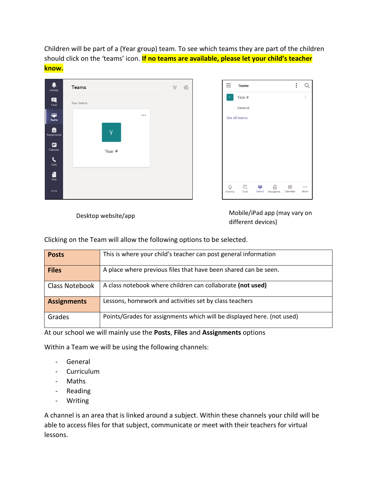Children will be part of a (Year group) team. To see which teams they are part of the children should click on the 'teams' icon. **If no teams are available, please let your child's teacher know.**



Desktop website/app Mobile/iPad app (may vary on different devices)

Clicking on the Team will allow the following options to be selected.

| <b>Posts</b>          | This is where your child's teacher can post general information        |
|-----------------------|------------------------------------------------------------------------|
| <b>Files</b>          | A place where previous files that have been shared can be seen.        |
| <b>Class Notebook</b> | A class notebook where children can collaborate (not used)             |
| <b>Assignments</b>    | Lessons, homework and activities set by class teachers                 |
| Grades                | Points/Grades for assignments which will be displayed here. (not used) |

At our school we will mainly use the **Posts**, **Files** and **Assignments** options

Within a Team we will be using the following channels:

- General
- Curriculum
- Maths
- Reading
- Writing

A channel is an area that is linked around a subject. Within these channels your child will be able to access files for that subject, communicate or meet with their teachers for virtual lessons.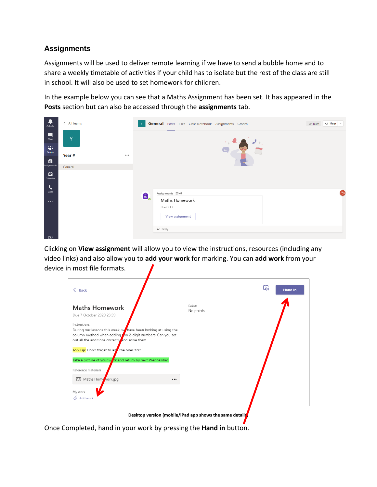### **Assignments**

Assignments will be used to deliver remote learning if we have to send a bubble home and to share a weekly timetable of activities if your child has to isolate but the rest of the class are still in school. It will also be used to set homework for children.

In the example below you can see that a Maths Assignment has been set. It has appeared in the **Posts** section but can also be accessed through the **assignments** tab.



Clicking on **View assignment** will allow you to view the instructions, resources (including any video links) and also allow you to **add your work** for marking. You can **add work** from your device in most file formats.

| <b>Back</b>                                                                                                                                                                                     |                     | L26<br><b>Hand in</b> |
|-------------------------------------------------------------------------------------------------------------------------------------------------------------------------------------------------|---------------------|-----------------------|
| <b>Maths Homework</b><br>Due 7 October 2020 23:59                                                                                                                                               | Points<br>No points |                       |
| Instructions<br>During our lessons this week, we have been looking at using the<br>column method when adding to 2-digit numbers. Can you set<br>out all the additions correctly and solve them. |                     |                       |
| Top Tip: Don't forget to ad the ones first.<br>Take a picture of your wark and return by next Wednesday                                                                                         |                     |                       |
| Reference materials                                                                                                                                                                             |                     |                       |
| Maths Home vork.jpg<br>$\cdots$<br>My work<br>$\mathscr O$ Add work                                                                                                                             |                     |                       |
|                                                                                                                                                                                                 |                     |                       |

**Desktop version (mobile/iPad app shows the same details)**

Once Completed, hand in your work by pressing the **Hand in** button.